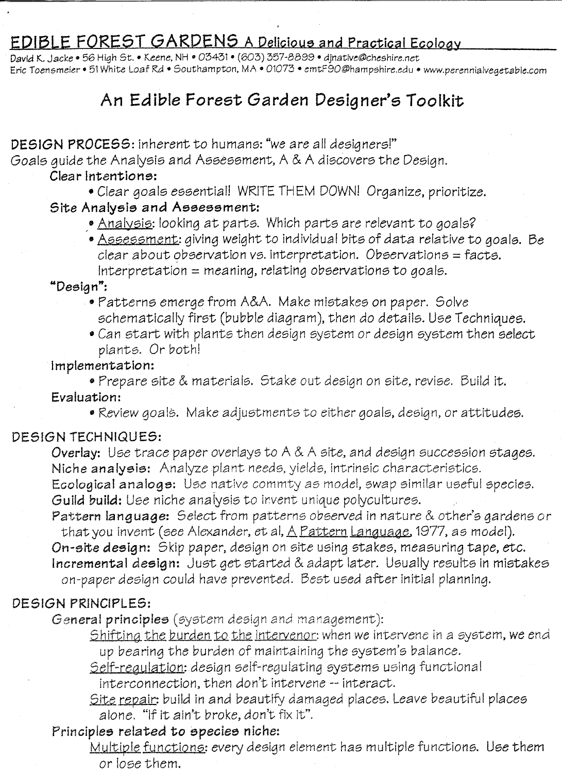# EDIBLE FOREST GARDENS A Delicious and Practical Ecology

David K. Jacke· 56 High St. • Keene. NH • 03431· (603) 357-8899· djnative@cheshire,net Eric *Toensmeier·* 51White Loaf Rd • Southampton. MA • 01073· emtF90@hampshire.edu • www.perenniaivegetable.com

# An Edible Forest Garden Designer's Toolkit

## DESIGN PROCESS: inherent to humans: "we are all designers!"

Goals guide the Analysis and Assessment, A & A discovers the Design.

#### Clear Intentione:

• Clear goals essential! WRITETHEM DOWN! Organize, prioritize.

#### Site Analysie and Assessment:

- Analysis: looking at parts. Which parts are relevant to goals?
- Assessment: giving weight to individual bits of data relative to goals. Be  $clear$  about observation vs. interpretation. Observations = facts.  $Interpretation = meaning, relating observations to goals.$

"Design":

- " Patterns emerge from A&A. Make mistakes on paper. Solve schematically first (bubble diagram), then do details. Use Techniques.
- Can start with plants then design system or design system then select plants. Or both!

#### Implementation:

• Prepare site & materials. Stake out design on site, revise. Build it. Evaluation:

• Review goals. Make adjustments to either goals, design, or attitudes.

## DESIGN TECHNIQUES:

**Overlay:** Use trace paper overlays to A & A site, and design succession stages. Niche analysis: Analyze plant needs, yields, intrinsic characteristics.

Ecological analogs: Use native commty as model, swap similar useful species. Guild build: Use niche analysis to invent unique polycultures.

Pattern language: Select from patterns observed in nature & other's gardens or that you invent (see Alexander, et al,  $\triangle$  Pattern Language, 1977, as model).

On-eite deeign: Skip paper, design on site using stakes, measuring tape, *etc.* Incremental deeign: Just get started & adapt later. Usually results in mistakes on-paper design could have prevented. Best used after initial planning.

# DE51GN PRINCIPLES:

#### General principles (system design and management):

Shifting the burden to the intervenor: when we intervene in a system, we end up bearing the burden of maintaining the system's balance.

Self-regulation: design self-regulating systems using functional interconnection. then don't intervene -- interact.

Site repair: build in and beautify damaged places. Leave beautiful places alone. "If it ain't broke, don't fix it".

## Principles *related* to species niche:

Multiple functions: every design element has multiple functions. Use them or lose them.